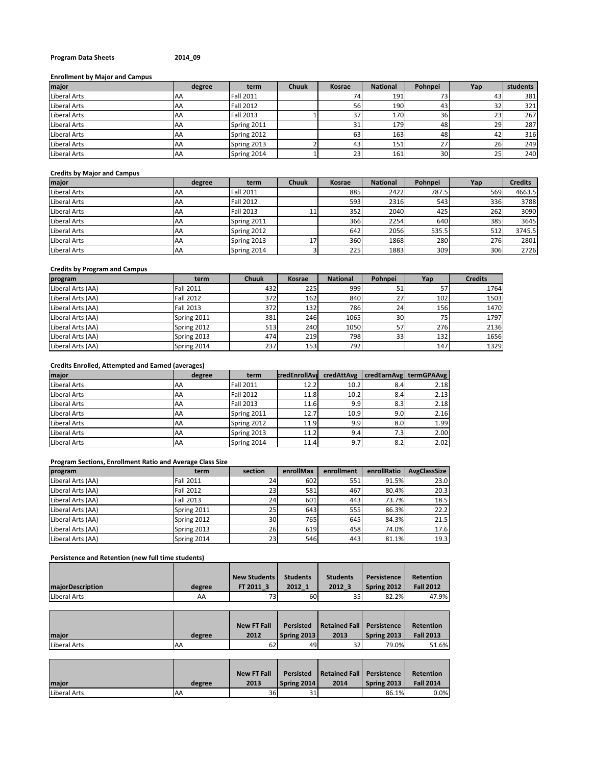## **Program Data Sheets 2014\_09**

## **Enrollment by Major and Campus**

| major               | degree     | term             | <b>Chuuk</b> | Kosrae | <b>National</b> | Pohnpei | Yap | students |
|---------------------|------------|------------------|--------------|--------|-----------------|---------|-----|----------|
| Liberal Arts        | <b>IAA</b> | <b>Fall 2011</b> |              |        | 191             | 73      | 43  | 381      |
| <b>Liberal Arts</b> | IAA.       | <b>Fall 2012</b> |              | 56     | 190             | 43      | 32  | 321      |
| Liberal Arts        | IAA.       | <b>Fall 2013</b> |              |        | 170             | 36      | 23  | 267      |
| Liberal Arts        | AA         | Spring 2011      |              |        | 179             | 48      | 29  | 287      |
| Liberal Arts        | AA         | Spring 2012      |              | 63     | 163             | 48      | 42  | 316      |
| Liberal Arts        | <b>AA</b>  | Spring 2013      |              | 43     | 151             | 27      | 26  | 249      |
| <b>Liberal Arts</b> | <b>AA</b>  | Spring 2014      |              | 23     | 161             | 30      | 25  | 240      |

#### **Credits by Major and Campus**

| major               | degree    | term             | <b>Chuuk</b> | Kosrae | <b>National</b> | Pohnpei | Yap | <b>Credits</b> |
|---------------------|-----------|------------------|--------------|--------|-----------------|---------|-----|----------------|
| <b>Liberal Arts</b> | <b>AA</b> | <b>Fall 2011</b> |              | 885    | 2422            | 787.5   | 569 | 4663.5         |
| Liberal Arts        | IAA       | <b>Fall 2012</b> |              | 593    | 2316            | 543     | 336 | 3788           |
| <b>Liberal Arts</b> | AA        | <b>Fall 2013</b> | 11           | 352    | 2040            | 425     | 262 | 3090           |
| <b>Liberal Arts</b> | AA        | Spring 2011      |              | 366    | 2254            | 640     | 385 | 3645           |
| <b>Liberal Arts</b> | AA        | Spring 2012      |              | 642    | 2056            | 535.5   | 512 | 3745.5         |
| Liberal Arts        | AA        | Spring 2013      | 17           | 360    | 1868            | 280     | 276 | 2801           |
| Liberal Arts        | AA        | Spring 2014      |              | 225    | 1883            | 309     | 306 | 2726           |

## **Credits by Program and Campus**

| program           | term             | <b>Chuuk</b> | <b>Kosrae</b> | <b>National</b> | Pohnpei         | Yap | <b>Credits</b> |
|-------------------|------------------|--------------|---------------|-----------------|-----------------|-----|----------------|
| Liberal Arts (AA) | <b>Fall 2011</b> | 432          | 225           | 999             | 51              |     | 1764           |
| Liberal Arts (AA) | <b>Fall 2012</b> | 372          | 162           | 840             | 27              | 102 | 1503           |
| Liberal Arts (AA) | Fall 2013        | 372          | 132 I         | 786             | 24              | 156 | 1470           |
| Liberal Arts (AA) | Spring 2011      | 381          | 246           | 1065            | 30 <sup>1</sup> | 75  | 1797           |
| Liberal Arts (AA) | Spring 2012      | 513          | 240           | 1050            | 57              | 276 | 2136           |
| Liberal Arts (AA) | Spring 2013      | 474          | 219           | 798             | 331             | 132 | 1656           |
| Liberal Arts (AA) | Spring 2014      | 237          | 153           | 792             |                 | 147 | 1329           |

# **Credits Enrolled, Attempted and Earned (averages)**

| major        | degree | term             | <b>credEnrollAva</b> | credAttAvg |      | credEarnAvg   termGPAAvg |
|--------------|--------|------------------|----------------------|------------|------|--------------------------|
| Liberal Arts | AA     | <b>Fall 2011</b> | 12.2                 | 10.2       | 8.4  | 2.18                     |
| Liberal Arts | AA     | <b>Fall 2012</b> | 11.8                 | 10.2       | 8.4  | 2.13                     |
| Liberal Arts | AA     | <b>Fall 2013</b> | 11.6                 | 9.9        | 8.3  | 2.18                     |
| Liberal Arts | AA     | Spring 2011      | 12.7                 | 10.9       | 9.01 | 2.16                     |
| Liberal Arts | AA     | Spring 2012      | 11.9                 | 9.9        | 8.0  | 1.99                     |
| Liberal Arts | AA     | Spring 2013      | 11.2                 | 9.4        | 7.3  | 2.00                     |
| Liberal Arts | AA     | Spring 2014      | 11.4                 | 9.7        | 8.2  | 2.02                     |

# **Program Sections, Enrollment Ratio and Average Class Size**

| program           | term             | section         | enrollMax | enrollment | enrollRatio | AvgClassSize |
|-------------------|------------------|-----------------|-----------|------------|-------------|--------------|
| Liberal Arts (AA) | <b>Fall 2011</b> | 24              | 602       | 551        | 91.5%       | 23.0         |
| Liberal Arts (AA) | <b>Fall 2012</b> | 23              | 581       | 467        | 80.4%       | 20.3         |
| Liberal Arts (AA) | <b>Fall 2013</b> | 24              | 601       | 443        | 73.7%       | 18.5         |
| Liberal Arts (AA) | Spring 2011      | 25 <sub>l</sub> | 643       | 555        | 86.3%       | 22.2         |
| Liberal Arts (AA) | Spring 2012      | 30 <sup>1</sup> | 765       | 645        | 84.3%       | 21.5         |
| Liberal Arts (AA) | Spring 2013      | 26              | 619       | 458        | 74.0%       | 17.6         |
| Liberal Arts (AA) | Spring 2014      | 23              | 546       | 443        | 81.1%       | 19.3         |

## **Persistence and Retention (new full time students)**

|                         |        | <b>New Students</b> | <b>Students</b> | <b>Students</b> | Persistence | <b>Retention</b> |
|-------------------------|--------|---------------------|-----------------|-----------------|-------------|------------------|
| <b>majorDescription</b> | degree | FT 2011 3           | 2012 1          | 2012 3          | Spring 2012 | <b>Fall 2012</b> |
| Liberal Arts            | AA     | 731                 | 60              | 35              | 82.2%       | 47.9%            |

|              |        | <b>New FT Fall</b> | <b>Persisted</b>   | Retained Fall Persistence |             | <b>Retention</b> |
|--------------|--------|--------------------|--------------------|---------------------------|-------------|------------------|
| major        | degree | 2012               | <b>Spring 2013</b> | 2013                      | Spring 2013 | <b>Fall 2013</b> |
| Liberal Arts | 'AA    | 621                | 49                 | 32                        | 79.0%       | 51.6%            |

|              |           | <b>New FT Fall</b> | Persisted   | Retained Fall Persistence |             | <b>Retention</b> |
|--------------|-----------|--------------------|-------------|---------------------------|-------------|------------------|
| maior        | degree    | 2013               | Spring 2014 | 2014                      | Spring 2013 | <b>Fall 2014</b> |
| Liberal Arts | <b>AA</b> | 36                 | 31          |                           | 86.1%       | 0.0%             |